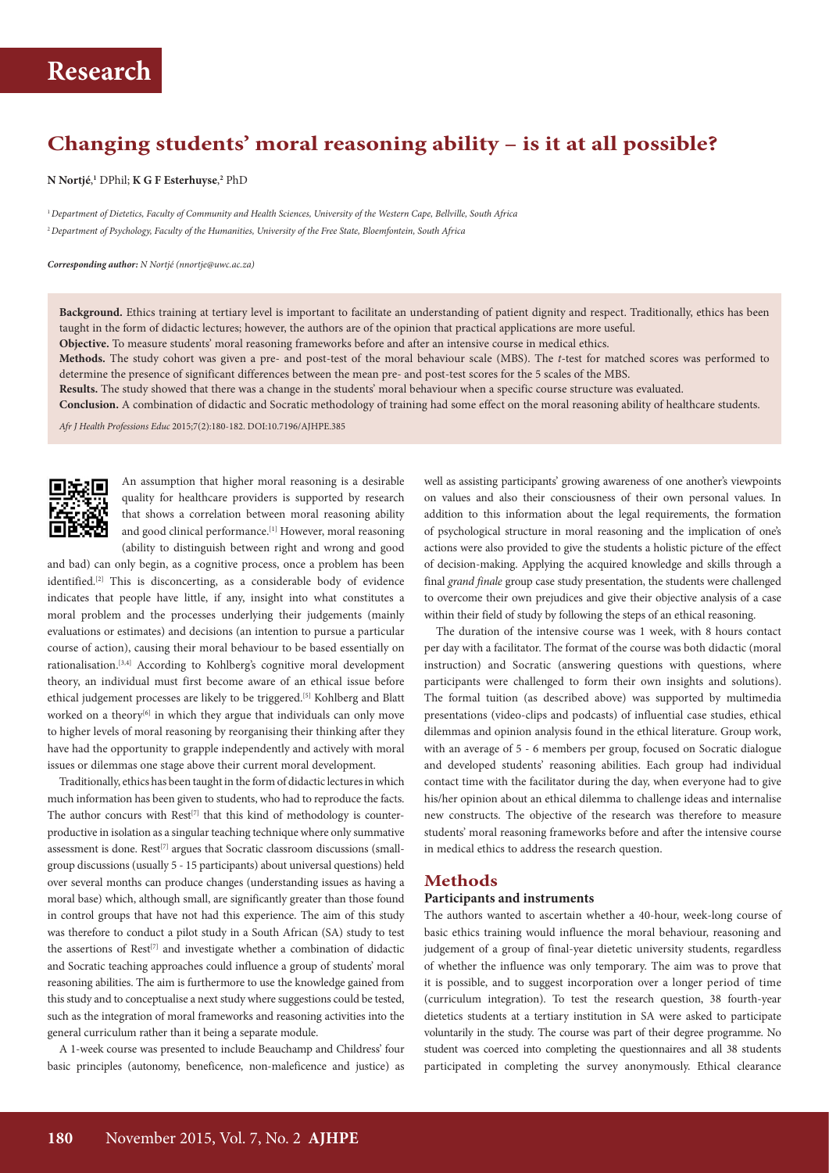### **Changing students' moral reasoning ability – is it at all possible?**

**N Nortjé**, **1** DPhil; **K G F Esterhuyse**, **2** PhD

<sup>1</sup>*Department of Dietetics, Faculty of Community and Health Sciences, University of the Western Cape, Bellville, South Africa* <sup>2</sup>*Department of Psychology, Faculty of the Humanities, University of the Free State, Bloemfontein, South Africa*

*Corresponding author: N Nortjé (nnortje@uwc.ac.za)*

**Background.** Ethics training at tertiary level is important to facilitate an understanding of patient dignity and respect. Traditionally, ethics has been taught in the form of didactic lectures; however, the authors are of the opinion that practical applications are more useful.

**Objective.** To measure students' moral reasoning frameworks before and after an intensive course in medical ethics.

**Methods.** The study cohort was given a pre- and post-test of the moral behaviour scale (MBS). The *t*-test for matched scores was performed to determine the presence of significant differences between the mean pre- and post-test scores for the 5 scales of the MBS.

**Results.** The study showed that there was a change in the students' moral behaviour when a specific course structure was evaluated.

**Conclusion.** A combination of didactic and Socratic methodology of training had some effect on the moral reasoning ability of healthcare students.

*Afr J Health Professions Educ* 2015;7(2):180-182. DOI:10.7196/AJHPE.385



An assumption that higher moral reasoning is a desirable quality for healthcare providers is supported by research that shows a correlation between moral reasoning ability and good clinical performance.<sup>[1]</sup> However, moral reasoning (ability to distinguish between right and wrong and good

and bad) can only begin, as a cognitive process, once a problem has been identified.[2] This is disconcerting, as a considerable body of evidence indicates that people have little, if any, insight into what constitutes a moral problem and the processes underlying their judgements (mainly evaluations or estimates) and decisions (an intention to pursue a particular course of action), causing their moral behaviour to be based essentially on rationalisation.[3,4] According to Kohlberg's cognitive moral development theory, an individual must first become aware of an ethical issue before ethical judgement processes are likely to be triggered.[5] Kohlberg and Blatt worked on a theory<sup>[6]</sup> in which they argue that individuals can only move to higher levels of moral reasoning by reorganising their thinking after they have had the opportunity to grapple independently and actively with moral issues or dilemmas one stage above their current moral development.

Traditionally, ethics has been taught in the form of didactic lectures in which much information has been given to students, who had to reproduce the facts. The author concurs with  $Rest^{[7]}$  that this kind of methodology is counterproductive in isolation as a singular teaching technique where only summative assessment is done.  $Rest^{[7]}$  argues that Socratic classroom discussions (smallgroup discussions (usually 5 - 15 participants) about universal questions) held over several months can produce changes (understanding issues as having a moral base) which, although small, are significantly greater than those found in control groups that have not had this experience. The aim of this study was therefore to conduct a pilot study in a South African (SA) study to test the assertions of  $Rest^{[7]}$  and investigate whether a combination of didactic and Socratic teaching approaches could influence a group of students' moral reasoning abilities. The aim is furthermore to use the knowledge gained from this study and to conceptualise a next study where suggestions could be tested, such as the integration of moral frameworks and reasoning activities into the general curriculum rather than it being a separate module.

A 1-week course was presented to include Beauchamp and Childress' four basic principles (autonomy, beneficence, non-maleficence and justice) as

well as assisting participants' growing awareness of one another's viewpoints on values and also their consciousness of their own personal values. In addition to this information about the legal requirements, the formation of psychological structure in moral reasoning and the implication of one's actions were also provided to give the students a holistic picture of the effect of decision-making. Applying the acquired knowledge and skills through a final *grand finale* group case study presentation, the students were challenged to overcome their own prejudices and give their objective analysis of a case within their field of study by following the steps of an ethical reasoning.

The duration of the intensive course was 1 week, with 8 hours contact per day with a facilitator. The format of the course was both didactic (moral instruction) and Socratic (answering questions with questions, where participants were challenged to form their own insights and solutions). The formal tuition (as described above) was supported by multimedia presentations (video-clips and podcasts) of influential case studies, ethical dilemmas and opinion analysis found in the ethical literature. Group work, with an average of 5 - 6 members per group, focused on Socratic dialogue and developed students' reasoning abilities. Each group had individual contact time with the facilitator during the day, when everyone had to give his/her opinion about an ethical dilemma to challenge ideas and internalise new constructs. The objective of the research was therefore to measure students' moral reasoning frameworks before and after the intensive course in medical ethics to address the research question.

### **Methods**

#### **Participants and instruments**

The authors wanted to ascertain whether a 40-hour, week-long course of basic ethics training would influence the moral behaviour, reasoning and judgement of a group of final-year dietetic university students, regardless of whether the influence was only temporary. The aim was to prove that it is possible, and to suggest incorporation over a longer period of time (curriculum integration). To test the research question, 38 fourth-year dietetics students at a tertiary institution in SA were asked to participate voluntarily in the study. The course was part of their degree programme. No student was coerced into completing the questionnaires and all 38 students participated in completing the survey anonymously. Ethical clearance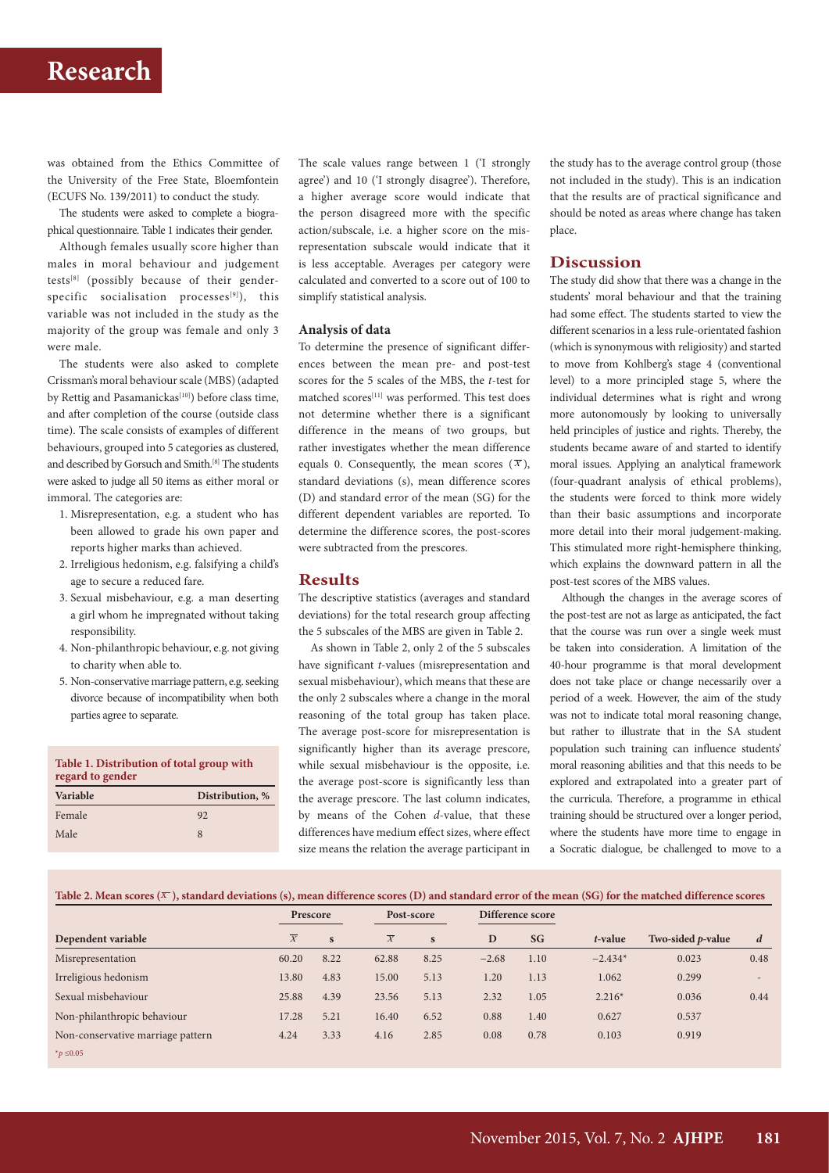## **Research**

was obtained from the Ethics Committee of the University of the Free State, Bloemfontein (ECUFS No. 139/2011) to conduct the study.

The students were asked to complete a biographical questionnaire. Table 1 indicates their gender.

Although females usually score higher than males in moral behaviour and judgement tests[8] (possibly because of their genderspecific socialisation processes<sup>[9]</sup>), this variable was not included in the study as the majority of the group was female and only 3 were male.

The students were also asked to complete Crissman's moral behaviour scale (MBS) (adapted by Rettig and Pasamanickas<sup>[10]</sup>) before class time, and after completion of the course (outside class time). The scale consists of examples of different behaviours, grouped into 5 categories as clustered, and described by Gorsuch and Smith.[8] The students were asked to judge all 50 items as either moral or immoral. The categories are:

- 1. Misrepresentation, e.g. a student who has been allowed to grade his own paper and reports higher marks than achieved.
- 2. Irreligious hedonism, e.g. falsifying a child's age to secure a reduced fare.
- 3. Sexual misbehaviour, e.g. a man deserting a girl whom he impregnated without taking responsibility.
- 4. Non-philanthropic behaviour, e.g. not giving to charity when able to.
- 5. Non-conservative marriage pattern, e.g. seeking divorce because of incompatibility when both parties agree to separate.

| Table 1. Distribution of total group with<br>regard to gender |                 |  |  |  |  |  |
|---------------------------------------------------------------|-----------------|--|--|--|--|--|
| Variable                                                      | Distribution, % |  |  |  |  |  |
| Female                                                        | 92              |  |  |  |  |  |
| Male                                                          | 8               |  |  |  |  |  |

The scale values range between 1 ('I strongly agree') and 10 ('I strongly disagree'). Therefore, a higher average score would indicate that the person disagreed more with the specific action/subscale, i.e. a higher score on the misrepresentation subscale would indicate that it is less acceptable. Averages per category were calculated and converted to a score out of 100 to simplify statistical analysis.

#### **Analysis of data**

To determine the presence of significant differences between the mean pre- and post-test scores for the 5 scales of the MBS, the *t*-test for matched scores<sup>[11]</sup> was performed. This test does not determine whether there is a significant difference in the means of two groups, but rather investigates whether the mean difference equals 0. Consequently, the mean scores  $(\overline{X})$ , standard deviations (s), mean difference scores (D) and standard error of the mean (SG) for the different dependent variables are reported. To determine the difference scores, the post-scores were subtracted from the prescores.

#### **Results**

The descriptive statistics (averages and standard deviations) for the total research group affecting the 5 subscales of the MBS are given in Table 2.

As shown in Table 2, only 2 of the 5 subscales have significant *t*-values (misrepresentation and sexual misbehaviour), which means that these are the only 2 subscales where a change in the moral reasoning of the total group has taken place. The average post-score for misrepresentation is significantly higher than its average prescore, while sexual misbehaviour is the opposite, i.e. the average post-score is significantly less than the average prescore. The last column indicates, by means of the Cohen *d*-value, that these differences have medium effect sizes, where effect size means the relation the average participant in

the study has to the average control group (those not included in the study). This is an indication that the results are of practical significance and should be noted as areas where change has taken place.

### **Discussion**

The study did show that there was a change in the students' moral behaviour and that the training had some effect. The students started to view the different scenarios in a less rule-orientated fashion (which is synonymous with religiosity) and started to move from Kohlberg's stage 4 (conventional level) to a more principled stage 5, where the individual determines what is right and wrong more autonomously by looking to universally held principles of justice and rights. Thereby, the students became aware of and started to identify moral issues. Applying an analytical framework (four-quadrant analysis of ethical problems), the students were forced to think more widely than their basic assumptions and incorporate more detail into their moral judgement-making. This stimulated more right-hemisphere thinking, which explains the downward pattern in all the post-test scores of the MBS values.

Although the changes in the average scores of the post-test are not as large as anticipated, the fact that the course was run over a single week must be taken into consideration. A limitation of the 40-hour programme is that moral development does not take place or change necessarily over a period of a week. However, the aim of the study was not to indicate total moral reasoning change, but rather to illustrate that in the SA student population such training can influence students' moral reasoning abilities and that this needs to be explored and extrapolated into a greater part of the curricula. Therefore, a programme in ethical training should be structured over a longer period, where the students have more time to engage in a Socratic dialogue, be challenged to move to a

|                                   |                | Prescore     |                | Post-score   |         | Difference score |           |                           |                          |
|-----------------------------------|----------------|--------------|----------------|--------------|---------|------------------|-----------|---------------------------|--------------------------|
| Dependent variable                | $\overline{X}$ | $\mathbf{s}$ | $\overline{X}$ | $\mathbf{s}$ | D       | <b>SG</b>        | t-value   | Two-sided <i>p</i> -value | d                        |
| Misrepresentation                 | 60.20          | 8.22         | 62.88          | 8.25         | $-2.68$ | 1.10             | $-2.434*$ | 0.023                     | 0.48                     |
| Irreligious hedonism              | 13.80          | 4.83         | 15.00          | 5.13         | 1.20    | 1.13             | 1.062     | 0.299                     | $\overline{\phantom{a}}$ |
| Sexual misbehaviour               | 25.88          | 4.39         | 23.56          | 5.13         | 2.32    | 1.05             | $2.216*$  | 0.036                     | 0.44                     |
| Non-philanthropic behaviour       | 17.28          | 5.21         | 16.40          | 6.52         | 0.88    | 1.40             | 0.627     | 0.537                     |                          |
| Non-conservative marriage pattern | 4.24           | 3.33         | 4.16           | 2.85         | 0.08    | 0.78             | 0.103     | 0.919                     |                          |
| $*$ <i>p</i> ≤0.05                |                |              |                |              |         |                  |           |                           |                          |